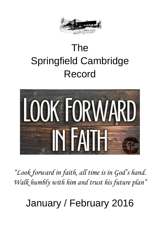

# The Springfield Cambridge Record



*"Look forward in faith, all time is in God's hand. Walk humbly with him and trust his future plan"*

January / February 2016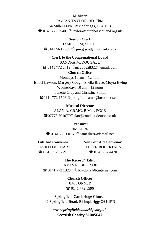#### **Minister**

Rev IAN TAYLOR, BD, ThM 64 Miller Drive, Bishopbriggs, G64 1FB  $\mathbf{\widehat{E}}$  0141 772 1540  $\Diamond$  taylor@churchofscotland.org.uk

**Session Clerk** JAMES (JIM) SCOTT  $\mathbf{\widehat{a}}$ 0141 563 2059  $\Diamond$  jim.g.scott@hotmail.co.uk

#### **Clerk to the Congregational Board**

SANDRA McDOUGALL

 $\mathbf{\widehat{a}}$  0141 772 2719  $\Diamond$ mcdougall322@gmail. com

#### **Church Office**

Mondays 10 am – 12 noon Isobel Lawson, Margery Gough, Sheila Bryce, Moyra Ewing Wednesdays 10 am – 12 noon Janette Gray and Christine Smith **</u>and 172 1596 ® Springfieldcamb@btconnect.com** 

#### **Musical Director**

ALAN A. CRAIG, B.Mus, PGCE  $\mathbf{\mathcal{R}}$ 07778 501077 Aalan@conduct.demon.co.uk

#### **Treasurer**

#### JIM KERR

 $\bullet$  0141 772 6015  $\circ$  jameskerr@fsmail.net

**Gift Aid Convenor Non Gift Aid Convenor** DAVID LOCKHART ELLEN ROBERTSON  $\mathbf{\widehat{a}}$  0141 772 6779  $\mathbf{\widehat{a}}$  0141 762 4420

**"The Record" Editor** JAMES ROBERTSON  $\circledR$  0141 772 1323  $\circ$  lowdon2@btinternet.com

> **Church Officer** JIM TONNER **雷** 0141 772 1596

**Springfield Cambridge Church 49 Springfield Road, BishopbriggsG64 1PN**

> *www.springfieldcambridge.org.uk* **Scottish Charity SC005642**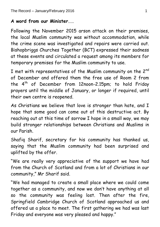### **A word from our Minister...**

Following the November 2015 arson attack on their premises, the local Muslim community was without accommodation, while the crime scene was investigated and repairs were carried out. Bishopbriggs Churches Together (BCT) expressed their sadness at these events and circulated a request among its members for temporary premises for the Muslim community to use.

I met with representatives of the Muslim community on the 2<sup>nd</sup> of December and offered them the free use of Room 2 from the 4<sup>th</sup> of December from 12noon-2.15pm; to hold Friday prayers until the middle of January, or longer if required, until their own centre is reopened.

As Christians we believe that love is stronger than hate, and I hope that some good can come out of this destructive act. By reaching out at this time of sorrow I hope in a small way, we may build stronger relationships between Christians and Muslims in our Parish.

Shafiq Sharif, secretary for his community has thanked us, saying that the Muslim community had been surprised and uplifted by the offer.

"We are really very appreciative of the support we have had from the Church of Scotland and from a lot of Christians in our community," Mr Sharif said.

"We had managed to create a small place where we could come together as a community, and now we don't have anything at all so the community was feeling lost. Then after the fire, Springfield Cambridge Church of Scotland approached us and offered us a place to meet. The first gathering we had was last Friday and everyone was very pleased and happy."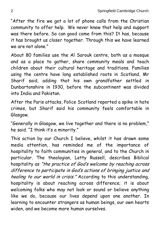"After the fire we got a lot of phone calls from the Christian community to offer help. We never knew that help and support was there before. So can good come from this? It has, because it has brought us closer together. Through this we have learned we are not alone."

About 80 families use the Al Sarouk centre, both as a mosque and as a place to gather, share community meals and teach children about their cultural heritage and traditions. Families using the centre have long established roots in Scotland, Mr Sharif said, adding that his own grandfather settled in Dunbartonshire in 1930, before the subcontinent was divided into India and Pakistan.

After the Paris attacks, Police Scotland reported a spike in hate crimes, but Sharif said his community feels comfortable in Glasgow.

"Generally in Glasgow, we live together and there is no problem," he said. "I think it's a minority."

This action by our Church I believe, whilst it has drawn some media attention, has reminded me of the importance of hospitality to faith communities in general, and to the Church in particular. The theologian, Letty Russell, describes Biblical hospitality as "the practice of God's welcome by reaching across difference to participate in God's actions of bringing justice and healing to our world in crisis." According to this understanding, hospitality is about reaching across difference; it is about welcoming folks who may not look or sound or believe anything like we do, because our lives depend upon one another. In learning to encounter strangers as human beings, our own hearts widen, and we become more human ourselves.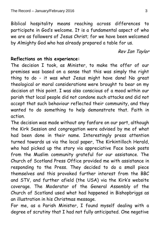Biblical hospitality means reaching across differences to participate in God's welcome. It is a fundamental aspect of who we are as followers of Jesus Christ; for we have been welcomed by Almighty God who has already prepared a table for us.

### Rev Ian Taylor

### **Reflections on this experience:**

The decision I took, as Minister, to make the offer of our premises was based on a sense that this was simply the right thing to do - it was what Jesus might have done! No great theological or moral considerations were brought to bear on my decision at this point. I was also conscious of a mood within our parish that local people did not condone such attacks and did not accept that such behaviour reflected their community, and they wanted to do something to help demonstrate that. Faith in action.

The decision was made without any fanfare on our part, although the Kirk Session and congregation were advised by me of what had been done in their name. Interestingly press attention turned towards us via the local paper, The Kirkintilloch Herald, who had picked up the story via appreciative Face book posts from the Muslim community grateful for our assistance. The Church of Scotland Press Office provided me with assistance in responding to the Press. They decided to do a small piece themselves and this provoked further interest from the BBC and STV, and further afield (the USA) via the Kirk's website coverage. The Moderator of the General Assembly of the Church of Scotland used what had happened in Bishopbriggs as an illustration in his Christmas message.

For me, as a Parish Minister, I found myself dealing with a degree of scrutiny that I had not fully anticipated. One negative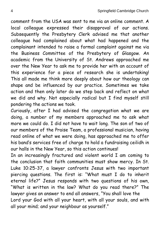comment from the USA was sent to me via an online comment. A local colleague expressed their disapproval of our actions. Subsequently the Presbytery Clerk advised me that another colleague had complained about what had happened and the complainant intended to raise a formal complaint against me via the Business Committee of the Presbytery of Glasgow. An academic from the University of St. Andrews approached me over the New Year to ask me to provide her with an account of this experience for a piece of research she is undertaking! This all made me think more deeply about how our theology can shape and be influenced by our practice. Sometimes we take action and then only later do we step back and reflect on what we did and why. Not especially radical but I find myself still pondering the actions we took.

Curiously, after I had advised the congregation what we are doing, a number of my members approached me to ask what more we could do. I did not have to wait long. The son of two of our members of the Praise Team, a professional musician, having read online of what we were doing, has approached me to offer his band's services free of charge to hold a fundraising ceilidh in our halls in the New Year, so this action continues!

In an increasingly fractured and violent world I am coming to the conclusion that faith communities must show mercy. In St. Luke 10:25-37, a lawyer confronts Jesus with two important piercing questions. The first is: "What must I do to inherit eternal life?" Jesus responds with two questions of his own, "What is written in the law? What do you read there?" The lawyer gives an answer to end all answers, "You shall love the Lord your God with all your heart, with all your souls, and with all your mind; and your neighbour as yourself."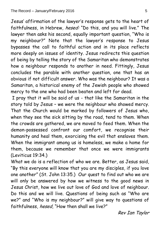Jesus' affirmation of the lawyer's response gets to the heart of faithfulness, in Hebrew, hesed: "Do this, and you will live." The lawyer then asks his second, equally important question, "Who is my neighbour?" Note that the lawyer's response to Jesus bypasses the call to faithful action and in its place reflects more deeply on issues of identity. Jesus redirects this question of being by telling the story of the Samaritan who demonstrates how a neighbour responds to another in need. Fittingly, Jesus concludes the parable with another question, one that has an obvious if not difficult answer. Who was the neighbour? It was a Samaritan, a historical enemy of the Jewish people who showed mercy to the one who had been beaten and left for dead.

I pray that it will be said of us - that like the Samaritan in the story told by Jesus – we were the neighbour who showed mercy. That the Church would be marked by followers of Jesus who, when they see the sick sitting by the road, tend to them. When the crowds are gathered, we are moved to feed them. When the demon-possessed confront our comfort, we recognise their humanity and heal them, exorcising the evil that enslaves them. When the immigrant among us is homeless, we make a home for them, because we remember that once we were immigrants (Leviticus 19:34.)

What we do is a reflection of who we are. Better, as Jesus said, "By this everyone will know that you are my disciples, if you love one another" (St. John 13:35.) Our quest to find out who we are will only be answered by how we witness to the good news in Jesus Christ, how we live out love of God and love of neighbour. Do this and we will live. Questions of being such as "Who are we?" and "Who is my neighbour?" will give way to questions of faithfulness, hesed, "How then shall we live?"

Rev Ian Taylor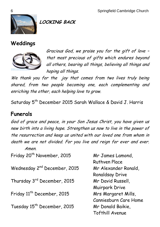

**LOOKING BACK**

## **Weddings**



Gracious God, we praise you for the gift of love – that most precious of gifts which endures beyond all others, bearing all things, believing all things and hoping all things.

We thank you for the joy that comes from two lives truly being shared, from two people becoming one, each complementing and enriching the other, each helping love to grow.

Saturday 5<sup>th</sup> December 2015 Sarah Wallace & David J. Harris

## **Funerals**

God of grace and peace, in your Son Jesus Christ, you have given us new birth into a living hope. Strengthen us now to live in the power of the resurrection and keep us united with our loved one from whom in death we are not divided. For you live and reign for ever and ever. Amen.

Friday 20<sup>th</sup> November, 2015 Mr James Lamond, Wednesday 2nd December, 2015 Mr Alexander Ronald, Thursday 3rd December, 2015 Mr David Russell, Friday 11<sup>th</sup> December, 2015 Mrs Margaret Mills, Tuesday 15th December, 2015 Mr Donald Baikie,

Ruthven Place Ronaldsay Drive Muirpark Drive Canniesburn Care Home Tofthill Avenue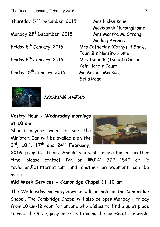The Record – January/February 2016 7

Thursday 17th December, 2015 Mrs Helen Kane,

Friday 15<sup>th</sup> January, 2016 Mr Arthur Manson,

Mavisbank NursingHome Monday 21<sup>st</sup> December, 2015 Mrs Martha M. Strang, Mailing Avenue Friday 8<sup>th</sup> January, 2016 Mrs Catherine (Cathy) H Shaw, Fourhills Nursing Home Friday 8th January, 2016 Mrs Isabella (Isobel) Carson, Keir Hardie Court Sella Road



**LOOKING AHEAD**

**Vestry Hour - Wednesday mornings at 10 am**

Should anyone wish to see the Minister, Ian will be available on the **3 rd, 10th . 17th and 24th February,** 



**2016** from 10 -11 am. Should you wish to see him at another time, please contact Ian on  $\blacksquare$ 0141 772 1540 or  $\lozenge$ taylorian@btinternet.com and another arrangement can be made.

### **Mid Week Services - Cambridge Chapel 11.10 am**

The Wednesday morning Service will be held in the Cambridge Chapel. The Cambridge Chapel will also be open Monday - Friday from 10 am-12 noon for anyone who wishes to find a quiet place to read the Bible, pray or reflect during the course of the week.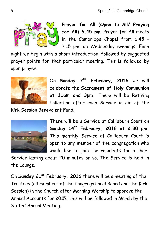

**Prayer for All (Open to All/ Praying for All) 6.45 pm**. Prayer for All meets in the Cambridge Chapel from 6.45 – 7.15 pm. on Wednesday evenings. Each

night we begin with a short introduction, followed by suggested prayer points for that particular meeting. This is followed by open prayer.



On **Sunday 7th February, 2016** we will celebrate the **Sacrament of Holy Communion at 11am and 3pm.** There will be Retiring Collection after each Service in aid of the

Kirk Session Benevolent Fund.



There will be a Service at Callieburn Court on **Sunday 14th February, 2016 at 2.30 pm.** This monthly Service at Callieburn Court is open to any member of the congregation who would like to join the residents for a short

Service lasting about 20 minutes or so. The Service is held in the Lounge.

On **Sunday 21st February, 2016** there will be a meeting of the Trustees (all members of the Congregational Board and the Kirk Session) in the Church after Morning Worship to approve the Annual Accounts for 2015. This will be followed in March by the Stated Annual Meeting.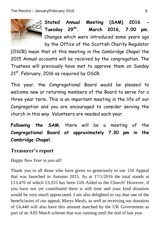

Stated Annual Meeting (SAM) 2016 **Tuesday 29th. March 2016, 7.00 pm.**  Changes which were introduced some years ago by the Office of the Scottish Charity Regulator

(OSCR) mean that at this meeting in the Cambridge Chapel the 2015 Annual accounts will be received by the congregation. The Trustees will previously have met to approve them on Sunday 21<sup>st</sup>. February, 2016 as required by OSCR.

This year, the Congregational Board would be pleased to welcome new or returning members of the Board to serve for a three year term. This is an important meeting in the life of our Congregation and you are encouraged to consider serving the church in this way. Volunteers are needed each year.

**Following the SAM**, there will be a meeting of the **Congregational Board at approximately 7.30 pm in the Cambridge Chapel.**

## **Treasurer's report**

#### *Happy New Year to you all!*

Thank you to all those who have given so generously to our 150 Appeal that was launched in Autumn 2015. As at 17/1/2016 the total stands at £13,470 of which £3,355 has been Gift-Aided to the Church! However, if you have not yet contributed there is still time and your kind donation would be very much appreciated. I am also delighted to say that one of the beneficiaries of our appeal, Marys Meals, as well as receiving our donation of £4,440 will also have this amount matched by the UK Government as part of an AID Match scheme that was running until the end of last year.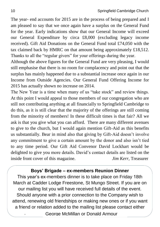The year- end accounts for 2015 are in the process of being prepared and I am pleased to say that we once again have a surplus on the General Fund for the year. Early indications show that our General Income will exceed our General Expenditure by circa £8,000 (excluding legacy income received). Gift Aid Donations on the General Fund total £74,050 with the tax claimed back by HMRC on that amount being approximately £18,512. Thanks to all the "regular givers" for your offerings during the year.

Although the above figures for the General Fund are very pleasing, I would still emphasise that there is no room for complacency and point out that the surplus has mainly happened due to a substantial increase once again in our Income from Outside Agencies. Our General Fund Offering Income for 2015 has actually shown no increase on 2014.

The New Year is a time when many of us "take stock" and review things. At this point I would appeal to those members of our congregation who are still not contributing anything at all financially to Springfield Cambridge to do this, as it is still clear that the majority of the offerings are still coming from the minority of members! In these difficult times is that fair? All we ask is that you give what you can afford. There are many different avenues to give to the church, but I would again mention Gift-Aid as this benefits us substantially. Bear in mind also that giving by Gift-Aid doesn't involve any commitment to give a certain amount by the donor and also isn't tied to any time period. Our Gift Aid Convenor David Lockhart would be delighted to give you more details. David's contact details are listed on the inside front cover of this magazine. *Jim Kerr*, Treasurer

#### **Boys' Brigade – ex-members Reunion Dinner**

George McMillan or Donald Armour This year's ex-members dinner is to take place on Friday 18th March at Cadder Lodge Freestone, St Mungo Street. If you are on our mailing list you will have received full details of the event. Should anyone with a prior connection to the Company wish to attend, renewing old friendships or making new ones or if you want a friend or relation added to the mailing list please contact either .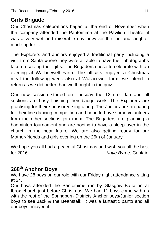# **Girls Brigade**

Our Christmas celebrations began at the end of November when the company attended the Pantomime at the Pavilion Theatre; it was a very wet and miserable day however the fun and laughter made up for it.

The Explorers and Juniors enjoyed a traditional party including a visit from Santa where they were all able to have their photographs taken receiving their gifts. The Brigaders chose to celebrate with an evening at Wallacewell Farm. The officers enjoyed a Christmas meal the following week also at Wallacewell farm, we intend to return as we did better than we thought in the quiz.

Our new session started on Tuesday the 12th of Jan and all sections are busy finishing their badge work. The Explorers are practising for their sponsored sing along. The Juniors are preparing for their line dancing competition and hope to have some volunteers from the other sections join them. The Brigaders are planning a badminton tournament and are hoping to have a sleep over in the church in the near future. We are also getting ready for our Mother/friends and girls evening on the 26th of January.

We hope you all had a peaceful Christmas and wish you all the best for 2016. *Katie Byrne*, Captain

# **268th Anchor Boys**

We have 28 boys on our role with our Friday night attendance sitting at 24.

Our boys attended the Pantomime run by Glasgow Battalion at Ibrox church just before Christmas. We had 11 boys come with us with the rest of the Springburn Districts Anchor boys/Junior section boys to see Jack & the Beanstalk. It was a fantastic panto and all our boys enjoyed it.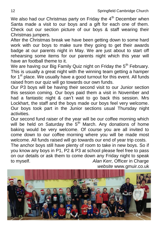We also had our Christmas party on Friday the  $4<sup>th</sup>$  December when Santa made a visit to our boys and a gift for each one of them. Check out our section picture of our boys & staff wearing their Christmas jumpers.

After the Christmas break we have been getting down to some hard work with our boys to make sure they going to get their awards badge at our parents night in May. We are just about to start off rehearsing some items for our parents night which this year will have an football theme to it.

We are having our Big Family Quiz night on Friday the  $5<sup>th</sup>$  February. This is usually a great night with the winning team getting a hamper for 1<sup>st</sup> place. We usually have a good turnout for this event. All funds raised from our quiz will go towards our own funds.

Our P3 boys will be having their second visit to our Junior section this session coming. Our boys paid them a visit in November and had a fantastic night & can't wait to go back this session. Mrs Lockhart, the staff and the boys made our boys feel very welcome. Our boys took part in the Junior sections usual Thursday night activities.

Our second fund raiser of the year will be our coffee morning which will be held on Saturday the  $5<sup>th</sup>$  March. Any donations of home baking would be very welcome. Of course you are all invited to come down to our coffee morning where you will be made most welcome. All funds raised will go towards our end of year trip costs.

The anchor boys still have plenty of room to take in new boys. So if you know any boys in P1, P2 & P3 at school please feel free to pass on our details or ask them to come down any Friday night to speak to myself. *Alan Kerr,* Officer in Charge *website* www.gmuir.co.uk

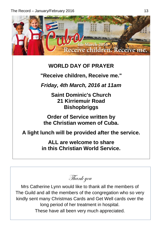

# **WORLD DAY OF PRAYER**

**"Receive children, Receive me."**

*Friday, 4th March, 2016 at 11am*

**Saint Dominic's Church 21 Kirriemuir Road Bishopbriggs**

**Order of Service written by the Christian women of Cuba.**

**A light lunch will be provided after the service.**

**ALL are welcome to share in this Christian World Service.**

Thank you

Mrs Catherine Lynn would like to thank all the members of The Guild and all the members of the congregation who so very kindly sent many Christmas Cards and Get Well cards over the long period of her treatment in hospital. These have all been very much appreciated.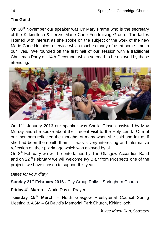### **The Guild**

On 30<sup>th</sup> November our speaker was Dr Mary Frame who is the secretary of the Kirkintilloch & Lenzie Marie Curie Fundraising Group. The ladies listened with interest as she spoke on the subject of the work of the new Marie Curie Hospice a service which touches many of us at some time in our lives. We rounded off the first half of our session with a traditional Christmas Party on 14th December which seemed to be enjoyed by those attending.



On 11<sup>th</sup> January 2016 our speaker was Sheila Gibson assisted by May Murray and she spoke about their recent visit to the Holy Land. One of our members reflected the thoughts of many when she said she felt as if she had been there with them. It was a very interesting and informative reflection on their pilgrimage which was enjoyed by all.

On 8<sup>th</sup> February we will be entertained by The Glasgow Accordion Band and on 22<sup>nd</sup> February we will welcome Ivy Blair from Prospects one of the projects we have chosen to support this year.

*Dates for your diary*

**Sunday 21st February 2016 -** City Group Rally – Springburn Church

**Friday 4th March** – World Day of Prayer

**Tuesday 15th March** – North Glasgow Presbyterial Council Spring Meeting & AGM – St David's Memorial Park Church, Kirkintilloch.

*Joyce Macmillan,* Secretary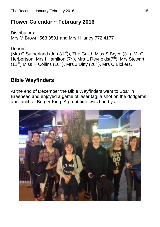# **Flower Calendar ~ February 2016**

Distributors: Mrs M Brown 563 3501 and Mrs I Harley 772 4177

Donors:

(Mrs C Sutherland (Jan  $31<sup>st</sup>$ )), The Guild, Miss S Bryce ( $3<sup>rd</sup>$ ), Mr G Herbertson, Mrs I Hamilton (7<sup>th</sup>), Mrs L Reynolds(7<sup>th</sup>), Mrs Stewart  $(11^{th})$ , Miss H Collins  $(16^{th})$ , Mrs J Ditty  $(20^{th})$ , Mrs C Bickers.

# **Bible Wayfinders**

At the end of December the Bible Wayfinders went to Soar in Braehead and enjoyed a game of laser tag, a shot on the dodgems and lunch at Burger King. A great time was had by all.

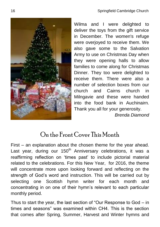Wilma and I were delighted to deliver the toys from the gift service in December. The women's refuge were overjoyed to receive them. We also gave some to the Salvation Army to use on Christmas Day when they were opening halls to allow families to come along for Christmas Dinner. They too were delighted to receive them. There were also a number of selection boxes from our church and Cairns church in Milngavie and these were handed into the food bank in Auchinairn. Thank you all for your generosity.

*Brenda Diamond*

# On the Front Cover This Month

First – an explanation about the chosen theme for the year ahead. Last year, during our 150<sup>th</sup> Anniversary celebrations, it was a reaffirming reflection on 'times past' to include pictorial material related to the celebrations. For this New Year, for 2016, the theme will concentrate more upon looking forward and reflecting on the strength of God's word and instruction. This will be carried out by selecting one Scottish hymn writer for each month and concentrating in on one of their hymn's relevant to each particular monthly period.

Thus to start the year, the last section of "Our Response to God – in times and seasons" was examined within CH4. This is the section that comes after Spring, Summer, Harvest and Winter hymns and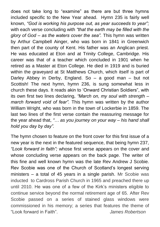does not take long to "examine" as there are but three hymns included specific to the New Year ahead. Hymn 235 is fairly well known, *"God is working his purpose out, as year succeeds to year";* with each verse concluding with *"that the earth may be filled with the glory of God – as the waters cover the sea".* This hymn was written by Arthur Campbell Ainger, who was born in 1841 in Greenwich then part of the county of Kent. His father was an Anglican priest. He was educated at Eton and at Trinity College, Cambridge. His career was that of a teacher which concluded in 1901 when he retired as a Master at Eton College. He died in 1919 and is buried within the graveyard at St Matthews Church, which itself is part of Darley Abbey in Derby, England. So – a good man – but not Scottish! The next hymn, hymn 236, is sung somewhat less in church these days. It reads akin to 'Onward Christian Soldiers", with its own first two lines declaring, *"March on, my soul with strength – march forward void of fear".* This hymn was written by the author William Wright, who was born in the town of Lockerbie in 1859. The last two lines of the first verse contain the reassuring message for the year ahead that, *"… as you journey on your way – his hand shall hold you day by day".*

The hymn chosen to feature on the front cover for this first issue of a new year is the next in the featured sequence, that being hymn 237, *"Look forward in faith";* whose first verse appears on the cover and whose concluding verse appears on the back page. The writer of this fine and well known hymn was the late Rev Andrew J Scobie. Rev Scobie was one of the Church of Scotland's longest serving ministers – a total of 45 years in a single parish. Mr Scobie was inducted to Cardross Parish Church in 1965 and preached there up until 2010. He was one of a few of the Kirk's ministers eligible to continue service beyond the normal retirement age of 65. After Rev Scobie passed on a series of stained glass windows were commissioned in his memory; a series that features the theme of "Look forward in Faith". *James Robertson*